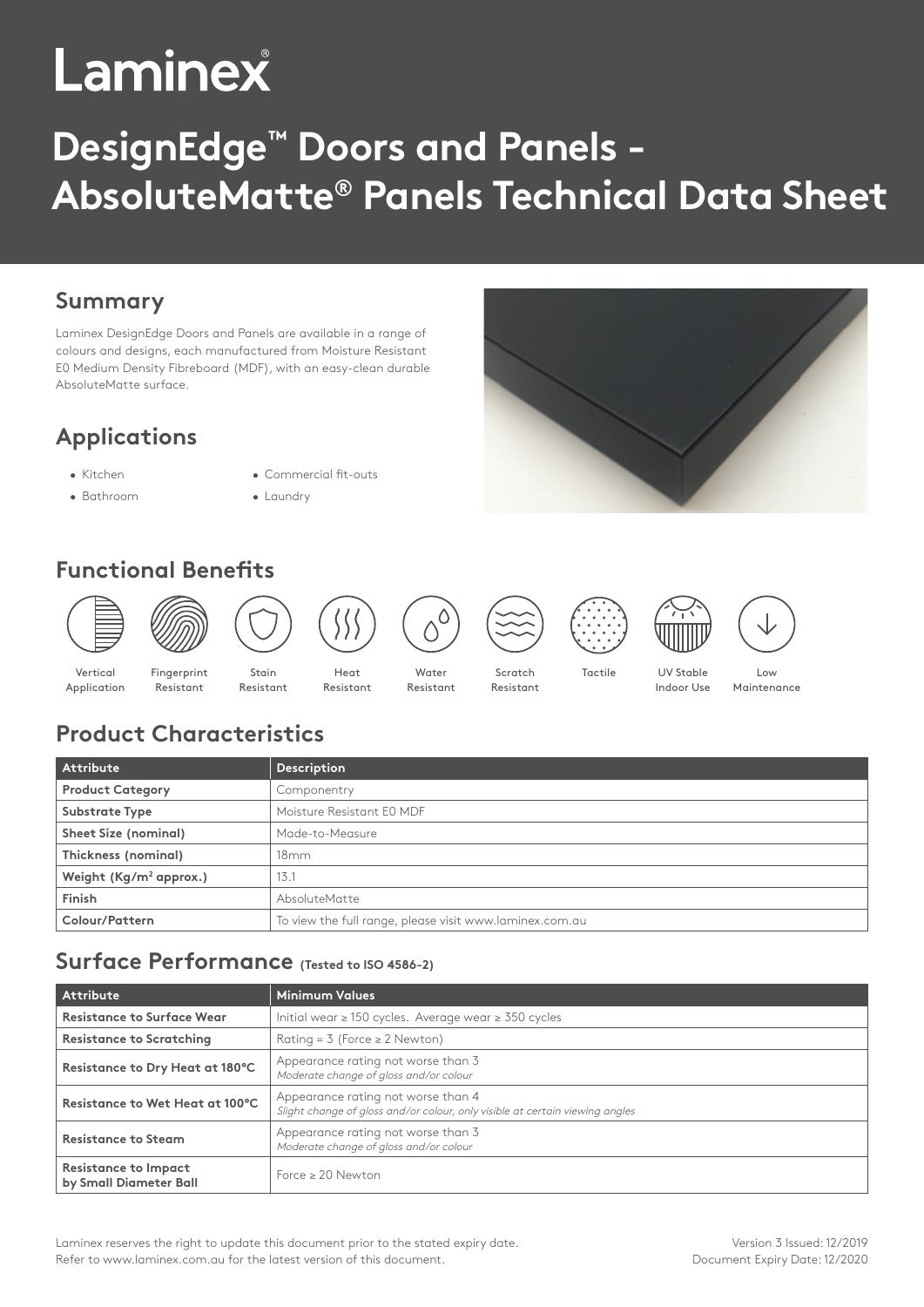# Laminex

# **DesignEdge™ Doors and Panels - AbsoluteMatte® Panels Technical Data Sheet**

### **Summary**

Laminex DesignEdge Doors and Panels are available in a range of colours and designs, each manufactured from Moisture Resistant E0 Medium Density Fibreboard (MDF), with an easy-clean durable AbsoluteMatte surface.

# **Applications**

- Kitchen Commercial fit-outs
- Bathroom Laundry
- 
- **Functional Benefits**



# **Product Characteristics**

| Attribute                          | Description                                             |
|------------------------------------|---------------------------------------------------------|
| <b>Product Category</b>            | Componentry                                             |
| Substrate Type                     | Moisture Resistant E0 MDF                               |
| Sheet Size (nominal)               | Made-to-Measure                                         |
| Thickness (nominal)                | 18mm                                                    |
| Weight (Kg/m <sup>2</sup> approx.) | 13.1                                                    |
| Finish                             | AbsoluteMatte                                           |
| Colour/Pattern                     | To view the full range, please visit www.laminex.com.au |

#### **Surface Performance (Tested to ISO 4586-2)**

| <b>Attribute</b>                                      | Minimum Values                                                                                                     |  |  |
|-------------------------------------------------------|--------------------------------------------------------------------------------------------------------------------|--|--|
| <b>Resistance to Surface Wear</b>                     | Initial wear $\geq$ 150 cycles. Average wear $\geq$ 350 cycles                                                     |  |  |
| <b>Resistance to Scratching</b>                       | Rating = $3$ (Force $\geq 2$ Newton)                                                                               |  |  |
| Resistance to Dry Heat at 180°C                       | Appearance rating not worse than 3<br>Moderate change of gloss and/or colour                                       |  |  |
| Resistance to Wet Heat at 100°C                       | Appearance rating not worse than 4<br>Slight change of gloss and/or colour, only visible at certain viewing angles |  |  |
| <b>Resistance to Steam</b>                            | Appearance rating not worse than 3<br>Moderate change of gloss and/or colour                                       |  |  |
| <b>Resistance to Impact</b><br>by Small Diameter Ball | Force $\geq 20$ Newton                                                                                             |  |  |

Laminex reserves the right to update this document prior to the stated expiry date. Refer to www.laminex.com.au for the latest version of this document.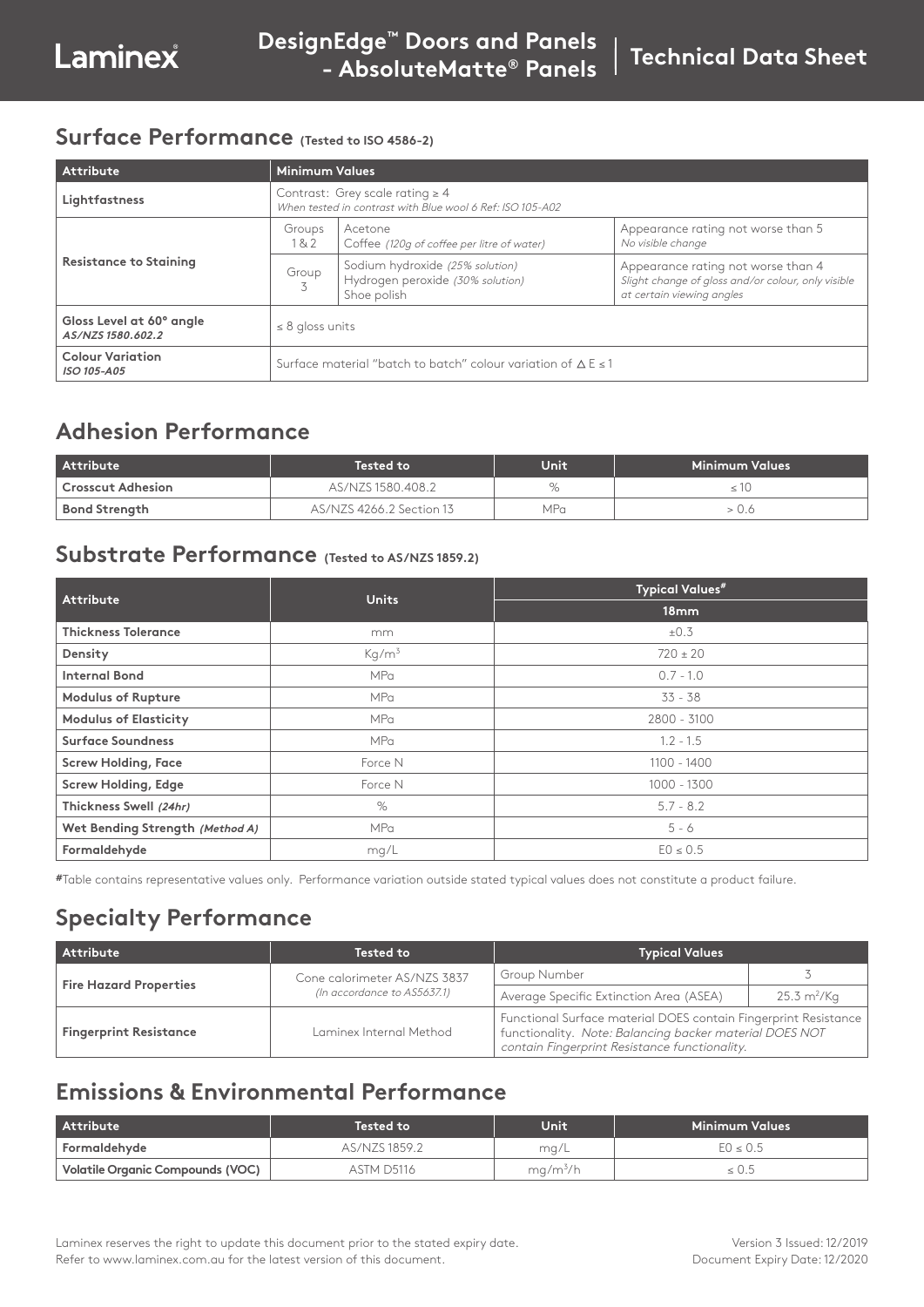#### **Surface Performance (Tested to ISO 4586-2)**

| Attribute                                     | <b>Minimum Values</b>                                                                             |                                                                                    |                                                                                                                       |
|-----------------------------------------------|---------------------------------------------------------------------------------------------------|------------------------------------------------------------------------------------|-----------------------------------------------------------------------------------------------------------------------|
| Lightfastness                                 | Contrast: Grey scale rating $\geq 4$<br>When tested in contrast with Blue wool 6 Ref: ISO 105-A02 |                                                                                    |                                                                                                                       |
| <b>Resistance to Staining</b>                 | Groups<br>18.2                                                                                    | Acetone<br>Coffee (120q of coffee per litre of water)                              | Appearance rating not worse than 5<br>No visible change                                                               |
|                                               | Group                                                                                             | Sodium hydroxide (25% solution)<br>Hydrogen peroxide (30% solution)<br>Shoe polish | Appearance rating not worse than 4<br>Slight change of gloss and/or colour, only visible<br>at certain viewing angles |
| Gloss Level at 60° angle<br>AS/NZS 1580.602.2 | $\leq$ 8 gloss units                                                                              |                                                                                    |                                                                                                                       |
| <b>Colour Variation</b><br>ISO 105-A05        | Surface material "batch to batch" colour variation of $\Delta E \le 1$                            |                                                                                    |                                                                                                                       |

#### **Adhesion Performance**

| <b>Attribute</b>     | Tested to                | Unit | Minimum Values |
|----------------------|--------------------------|------|----------------|
| Crosscut Adhesion    | AS/NZS 1580.408.2        | $\%$ |                |
| <b>Bond Strength</b> | AS/NZS 4266.2 Section 13 | MPa  |                |

#### **Substrate Performance (Tested to AS/NZS 1859.2)**

| <b>Attribute</b>                | <b>Units</b>      | <b>Typical Values#</b> |  |  |
|---------------------------------|-------------------|------------------------|--|--|
|                                 |                   | 18mm                   |  |  |
| <b>Thickness Tolerance</b>      | mm                | $\pm 0.3$              |  |  |
| Density                         | Kq/m <sup>3</sup> | $720 \pm 20$           |  |  |
| <b>Internal Bond</b>            | <b>MPa</b>        | $0.7 - 1.0$            |  |  |
| <b>Modulus of Rupture</b>       | <b>MPa</b>        | $33 - 38$              |  |  |
| <b>Modulus of Elasticity</b>    | MPa               | 2800 - 3100            |  |  |
| <b>Surface Soundness</b>        | MPa               | $1.2 - 1.5$            |  |  |
| <b>Screw Holding, Face</b>      | Force N           | 1100 - 1400            |  |  |
| <b>Screw Holding, Edge</b>      | Force N           | 1000 - 1300            |  |  |
| Thickness Swell (24hr)          | $\%$              | $5.7 - 8.2$            |  |  |
| Wet Bending Strength (Method A) | MPa               | $5 - 6$                |  |  |
| Formaldehyde                    | mg/L              | $EO \le 0.5$           |  |  |

**#**Table contains representative values only. Performance variation outside stated typical values does not constitute a product failure.

# **Specialty Performance**

| Attribute                     | <b>Tested to</b>             | <b>Typical Values</b>                                                                                                                                                         |                              |
|-------------------------------|------------------------------|-------------------------------------------------------------------------------------------------------------------------------------------------------------------------------|------------------------------|
| <b>Fire Hazard Properties</b> | Cone calorimeter AS/NZS 3837 | Group Number                                                                                                                                                                  |                              |
|                               | (In accordance to AS5637.1)  | Average Specific Extinction Area (ASEA)                                                                                                                                       | $25.3 \text{ m}^2/\text{Kq}$ |
| <b>Fingerprint Resistance</b> | Laminex Internal Method      | Functional Surface material DOES contain Fingerprint Resistance  <br>functionality. Note: Balancing backer material DOES NOT<br>contain Fingerprint Resistance functionality. |                              |

## **Emissions & Environmental Performance**

| <b>Attribute</b>                 | <b>Tested to</b> | Unit                 | Minimum Values ' |
|----------------------------------|------------------|----------------------|------------------|
| Formaldehyde                     | AS/NZS 1859.2    | mq/L                 | $EO \le 0.5$     |
| Volatile Organic Compounds (VOC) | ASTM D5116       | ma/m <sup>3</sup> /h | 5.03             |

Laminex reserves the right to update this document prior to the stated expiry date. Refer to www.laminex.com.au for the latest version of this document.